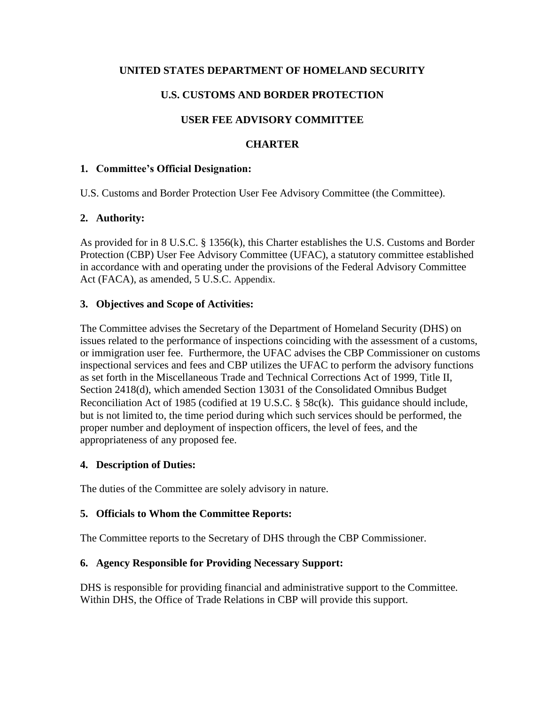### **UNITED STATES DEPARTMENT OF HOMELAND SECURITY**

# **U.S. CUSTOMS AND BORDER PROTECTION**

# **USER FEE ADVISORY COMMITTEE**

## **CHARTER**

#### **1. Committee's Official Designation:**

U.S. Customs and Border Protection User Fee Advisory Committee (the Committee).

### **2. Authority:**

As provided for in 8 U.S.C. § 1356(k), this Charter establishes the U.S. Customs and Border Protection (CBP) User Fee Advisory Committee (UFAC), a statutory committee established in accordance with and operating under the provisions of the Federal Advisory Committee Act (FACA), as amended, 5 U.S.C. Appendix.

### **3. Objectives and Scope of Activities:**

The Committee advises the Secretary of the Department of Homeland Security (DHS) on issues related to the performance of inspections coinciding with the assessment of a customs, or immigration user fee. Furthermore, the UFAC advises the CBP Commissioner on customs inspectional services and fees and CBP utilizes the UFAC to perform the advisory functions as set forth in the Miscellaneous Trade and Technical Corrections Act of 1999, Title II, Section 2418(d), which amended Section 13031 of the Consolidated Omnibus Budget Reconciliation Act of 1985 (codified at 19 U.S.C. § 58c(k). This guidance should include, but is not limited to, the time period during which such services should be performed, the proper number and deployment of inspection officers, the level of fees, and the appropriateness of any proposed fee.

### **4. Description of Duties:**

The duties of the Committee are solely advisory in nature.

### **5. Officials to Whom the Committee Reports:**

The Committee reports to the Secretary of DHS through the CBP Commissioner.

### **6. Agency Responsible for Providing Necessary Support:**

DHS is responsible for providing financial and administrative support to the Committee. Within DHS, the Office of Trade Relations in CBP will provide this support.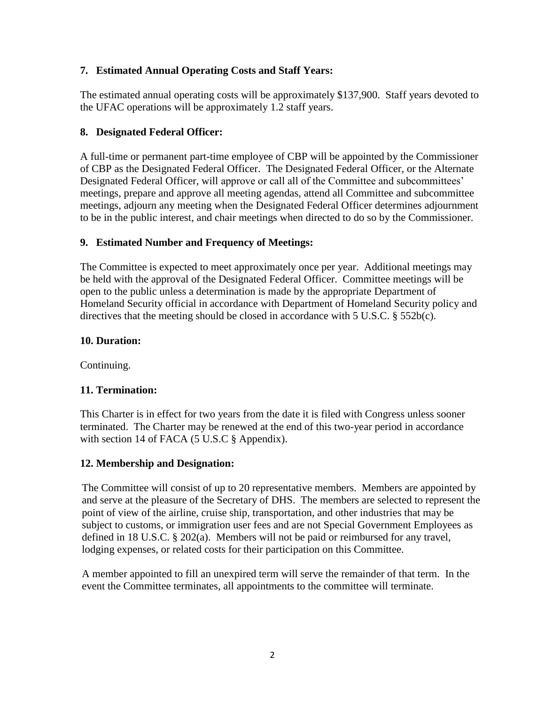### **7. Estimated Annual Operating Costs and Staff Years:**

The estimated annual operating costs will be approximately \$137,900. Staff years devoted to the UFAC operations will be approximately 1.2 staff years.

#### **8. Designated Federal Officer:**

A full-time or permanent part-time employee of CBP will be appointed by the Commissioner of CBP as the Designated Federal Officer. The Designated Federal Officer, or the Alternate Designated Federal Officer, will approve or call all of the Committee and subcommittees' meetings, prepare and approve all meeting agendas, attend all Committee and subcommittee meetings, adjourn any meeting when the Designated Federal Officer determines adjournment to be in the public interest, and chair meetings when directed to do so by the Commissioner.

#### **9. Estimated Number and Frequency of Meetings:**

The Committee is expected to meet approximately once per year. Additional meetings may be held with the approval of the Designated Federal Officer. Committee meetings will be open to the public unless a determination is made by the appropriate Department of Homeland Security official in accordance with Department of Homeland Security policy and directives that the meeting should be closed in accordance with  $5 \text{ U.S.C. }$  §  $552\text{b(c)}$ .

#### **10. Duration:**

Continuing.

#### **11. Termination:**

This Charter is in effect for two years from the date it is filed with Congress unless sooner terminated. The Charter may be renewed at the end of this two-year period in accordance with section 14 of FACA (5 U.S.C § Appendix).

#### **12. Membership and Designation:**

The Committee will consist of up to 20 representative members. Members are appointed by and serve at the pleasure of the Secretary of DHS. The members are selected to represent the point of view of the airline, cruise ship, transportation, and other industries that may be subject to customs, or immigration user fees and are not Special Government Employees as defined in 18 U.S.C. § 202(a). Members will not be paid or reimbursed for any travel, lodging expenses, or related costs for their participation on this Committee.

A member appointed to fill an unexpired term will serve the remainder of that term. In the event the Committee terminates, all appointments to the committee will terminate.